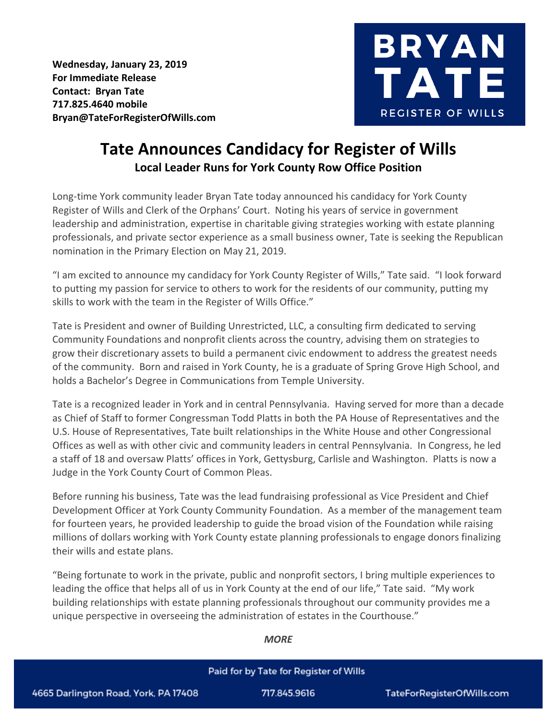**Wednesday, January 23, 2019 For Immediate Release Contact: Bryan Tate 717.825.4640 mobile Bryan@TateForRegisterOfWills.com**



## **Tate Announces Candidacy for Register of Wills Local Leader Runs for York County Row Office Position**

Long-time York community leader Bryan Tate today announced his candidacy for York County Register of Wills and Clerk of the Orphans' Court. Noting his years of service in government leadership and administration, expertise in charitable giving strategies working with estate planning professionals, and private sector experience as a small business owner, Tate is seeking the Republican nomination in the Primary Election on May 21, 2019.

"I am excited to announce my candidacy for York County Register of Wills," Tate said. "I look forward to putting my passion for service to others to work for the residents of our community, putting my skills to work with the team in the Register of Wills Office."

Tate is President and owner of Building Unrestricted, LLC, a consulting firm dedicated to serving Community Foundations and nonprofit clients across the country, advising them on strategies to grow their discretionary assets to build a permanent civic endowment to address the greatest needs of the community. Born and raised in York County, he is a graduate of Spring Grove High School, and holds a Bachelor's Degree in Communications from Temple University.

Tate is a recognized leader in York and in central Pennsylvania. Having served for more than a decade as Chief of Staff to former Congressman Todd Platts in both the PA House of Representatives and the U.S. House of Representatives, Tate built relationships in the White House and other Congressional Offices as well as with other civic and community leaders in central Pennsylvania. In Congress, he led a staff of 18 and oversaw Platts' offices in York, Gettysburg, Carlisle and Washington. Platts is now a Judge in the York County Court of Common Pleas.

Before running his business, Tate was the lead fundraising professional as Vice President and Chief Development Officer at York County Community Foundation. As a member of the management team for fourteen years, he provided leadership to guide the broad vision of the Foundation while raising millions of dollars working with York County estate planning professionals to engage donors finalizing their wills and estate plans.

"Being fortunate to work in the private, public and nonprofit sectors, I bring multiple experiences to leading the office that helps all of us in York County at the end of our life," Tate said. "My work building relationships with estate planning professionals throughout our community provides me a unique perspective in overseeing the administration of estates in the Courthouse."

## *MORE*

## Paid for by Tate for Register of Wills 4665 Darlington Road, York, PA 17408 717.845.9616 TateForRegisterOfWills.com